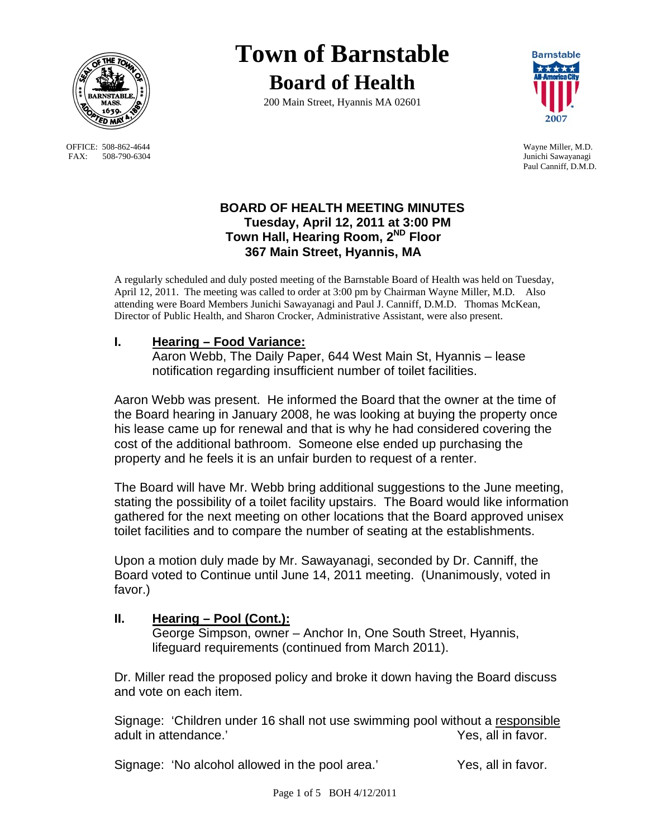

OFFICE: 508-862-4644 Wayne Miller, M.D.<br>
FAX: 508-790-6304 Junichi Sawayanagi FAX: 508-790-6304

# **Town of Barnstable Board of Health**

200 Main Street, Hyannis MA 02601



Paul Canniff, D.M.D.

## **BOARD OF HEALTH MEETING MINUTES Tuesday, April 12, 2011 at 3:00 PM Town Hall, Hearing Room, 2ND Floor 367 Main Street, Hyannis, MA**

A regularly scheduled and duly posted meeting of the Barnstable Board of Health was held on Tuesday, April 12, 2011. The meeting was called to order at 3:00 pm by Chairman Wayne Miller, M.D. Also attending were Board Members Junichi Sawayanagi and Paul J. Canniff, D.M.D. Thomas McKean, Director of Public Health, and Sharon Crocker, Administrative Assistant, were also present.

## **I. Hearing – Food Variance:**

 Aaron Webb, The Daily Paper, 644 West Main St, Hyannis – lease notification regarding insufficient number of toilet facilities.

Aaron Webb was present. He informed the Board that the owner at the time of the Board hearing in January 2008, he was looking at buying the property once his lease came up for renewal and that is why he had considered covering the cost of the additional bathroom. Someone else ended up purchasing the property and he feels it is an unfair burden to request of a renter.

The Board will have Mr. Webb bring additional suggestions to the June meeting, stating the possibility of a toilet facility upstairs. The Board would like information gathered for the next meeting on other locations that the Board approved unisex toilet facilities and to compare the number of seating at the establishments.

Upon a motion duly made by Mr. Sawayanagi, seconded by Dr. Canniff, the Board voted to Continue until June 14, 2011 meeting. (Unanimously, voted in favor.)

#### **II. Hearing – Pool (Cont.):**

 George Simpson, owner – Anchor In, One South Street, Hyannis, lifeguard requirements (continued from March 2011).

Dr. Miller read the proposed policy and broke it down having the Board discuss and vote on each item.

Signage: 'Children under 16 shall not use swimming pool without a responsible adult in attendance.' All the same state of the Yes, all in favor.

Signage: 'No alcohol allowed in the pool area.' Yes, all in favor.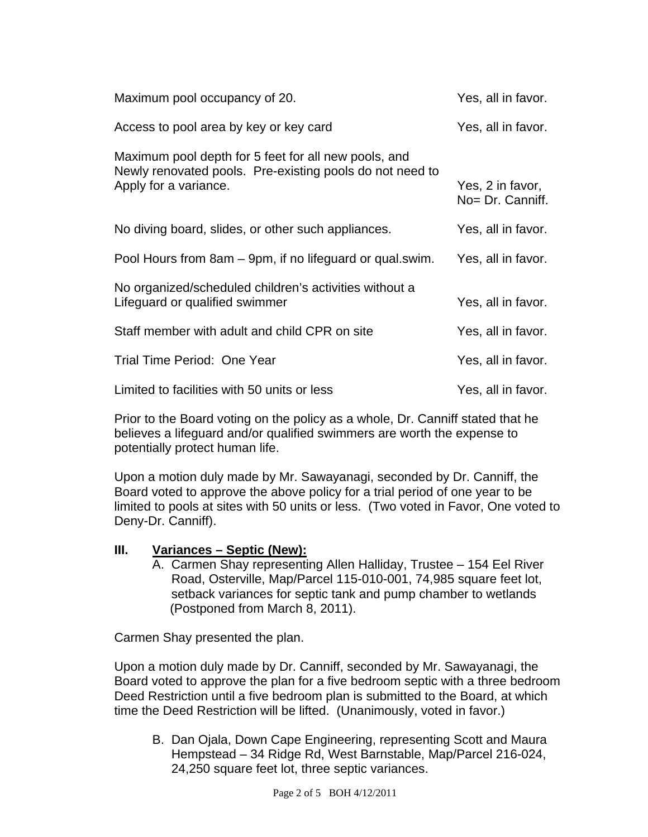| Maximum pool occupancy of 20.                                                                                                             | Yes, all in favor.                   |
|-------------------------------------------------------------------------------------------------------------------------------------------|--------------------------------------|
| Access to pool area by key or key card                                                                                                    | Yes, all in favor.                   |
| Maximum pool depth for 5 feet for all new pools, and<br>Newly renovated pools. Pre-existing pools do not need to<br>Apply for a variance. | Yes, 2 in favor,<br>No= Dr. Canniff. |
| No diving board, slides, or other such appliances.                                                                                        | Yes, all in favor.                   |
| Pool Hours from 8am – 9pm, if no lifeguard or qual.swim.                                                                                  | Yes, all in favor.                   |
| No organized/scheduled children's activities without a<br>Lifeguard or qualified swimmer                                                  | Yes, all in favor.                   |
| Staff member with adult and child CPR on site                                                                                             | Yes, all in favor.                   |
| Trial Time Period: One Year                                                                                                               | Yes, all in favor.                   |
| Limited to facilities with 50 units or less                                                                                               | Yes, all in favor.                   |

Prior to the Board voting on the policy as a whole, Dr. Canniff stated that he believes a lifeguard and/or qualified swimmers are worth the expense to potentially protect human life.

Upon a motion duly made by Mr. Sawayanagi, seconded by Dr. Canniff, the Board voted to approve the above policy for a trial period of one year to be limited to pools at sites with 50 units or less. (Two voted in Favor, One voted to Deny-Dr. Canniff).

#### **III. Variances – Septic (New):**

A. Carmen Shay representing Allen Halliday, Trustee – 154 Eel River Road, Osterville, Map/Parcel 115-010-001, 74,985 square feet lot, setback variances for septic tank and pump chamber to wetlands (Postponed from March 8, 2011).

Carmen Shay presented the plan.

Upon a motion duly made by Dr. Canniff, seconded by Mr. Sawayanagi, the Board voted to approve the plan for a five bedroom septic with a three bedroom Deed Restriction until a five bedroom plan is submitted to the Board, at which time the Deed Restriction will be lifted. (Unanimously, voted in favor.)

B. Dan Ojala, Down Cape Engineering, representing Scott and Maura Hempstead – 34 Ridge Rd, West Barnstable, Map/Parcel 216-024, 24,250 square feet lot, three septic variances.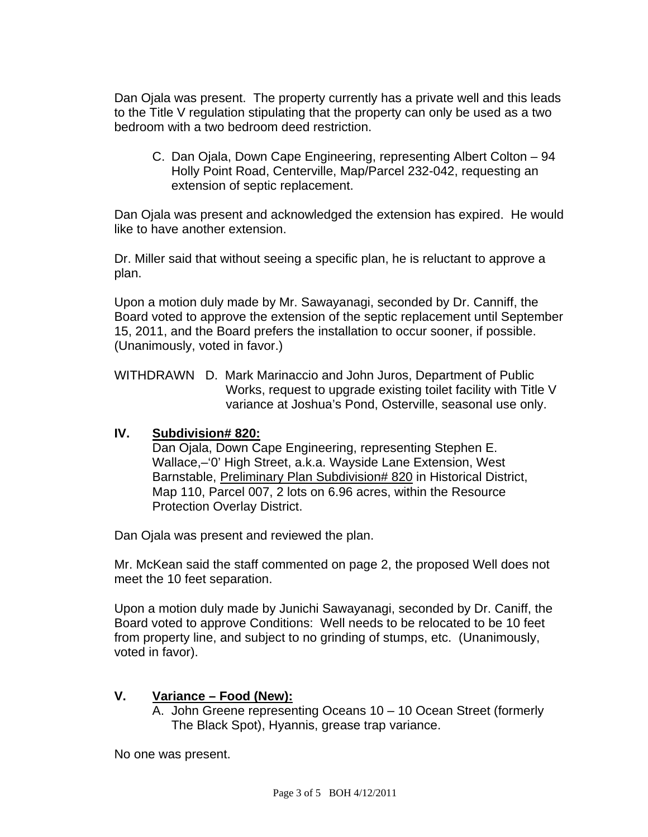Dan Ojala was present. The property currently has a private well and this leads to the Title V regulation stipulating that the property can only be used as a two bedroom with a two bedroom deed restriction.

C. Dan Ojala, Down Cape Engineering, representing Albert Colton – 94 Holly Point Road, Centerville, Map/Parcel 232-042, requesting an extension of septic replacement.

Dan Ojala was present and acknowledged the extension has expired. He would like to have another extension.

Dr. Miller said that without seeing a specific plan, he is reluctant to approve a plan.

Upon a motion duly made by Mr. Sawayanagi, seconded by Dr. Canniff, the Board voted to approve the extension of the septic replacement until September 15, 2011, and the Board prefers the installation to occur sooner, if possible. (Unanimously, voted in favor.)

WITHDRAWN D. Mark Marinaccio and John Juros, Department of Public Works, request to upgrade existing toilet facility with Title V variance at Joshua's Pond, Osterville, seasonal use only.

#### **IV. Subdivision# 820:**

Dan Ojala, Down Cape Engineering, representing Stephen E. Wallace,–'0' High Street, a.k.a. Wayside Lane Extension, West Barnstable, Preliminary Plan Subdivision# 820 in Historical District, Map 110, Parcel 007, 2 lots on 6.96 acres, within the Resource Protection Overlay District.

Dan Ojala was present and reviewed the plan.

Mr. McKean said the staff commented on page 2, the proposed Well does not meet the 10 feet separation.

Upon a motion duly made by Junichi Sawayanagi, seconded by Dr. Caniff, the Board voted to approve Conditions: Well needs to be relocated to be 10 feet from property line, and subject to no grinding of stumps, etc. (Unanimously, voted in favor).

# **V. Variance – Food (New):**

A. John Greene representing Oceans 10 – 10 Ocean Street (formerly The Black Spot), Hyannis, grease trap variance.

No one was present.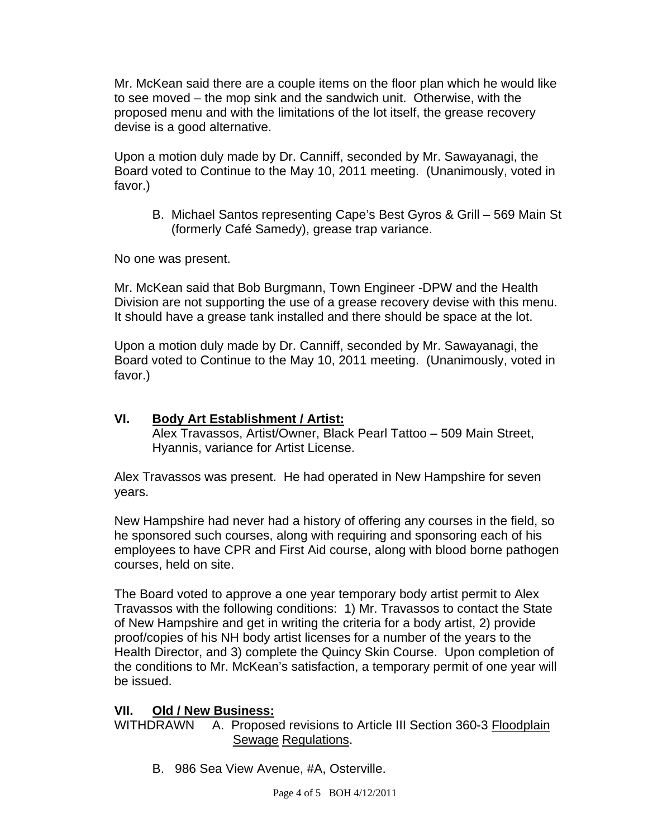Mr. McKean said there are a couple items on the floor plan which he would like to see moved – the mop sink and the sandwich unit. Otherwise, with the proposed menu and with the limitations of the lot itself, the grease recovery devise is a good alternative.

Upon a motion duly made by Dr. Canniff, seconded by Mr. Sawayanagi, the Board voted to Continue to the May 10, 2011 meeting. (Unanimously, voted in favor.)

B. Michael Santos representing Cape's Best Gyros & Grill – 569 Main St (formerly Café Samedy), grease trap variance.

No one was present.

Mr. McKean said that Bob Burgmann, Town Engineer -DPW and the Health Division are not supporting the use of a grease recovery devise with this menu. It should have a grease tank installed and there should be space at the lot.

Upon a motion duly made by Dr. Canniff, seconded by Mr. Sawayanagi, the Board voted to Continue to the May 10, 2011 meeting. (Unanimously, voted in favor.)

# **VI. Body Art Establishment / Artist:**

 Alex Travassos, Artist/Owner, Black Pearl Tattoo – 509 Main Street, Hyannis, variance for Artist License.

Alex Travassos was present. He had operated in New Hampshire for seven years.

New Hampshire had never had a history of offering any courses in the field, so he sponsored such courses, along with requiring and sponsoring each of his employees to have CPR and First Aid course, along with blood borne pathogen courses, held on site.

The Board voted to approve a one year temporary body artist permit to Alex Travassos with the following conditions: 1) Mr. Travassos to contact the State of New Hampshire and get in writing the criteria for a body artist, 2) provide proof/copies of his NH body artist licenses for a number of the years to the Health Director, and 3) complete the Quincy Skin Course. Upon completion of the conditions to Mr. McKean's satisfaction, a temporary permit of one year will be issued.

#### **VII. Old / New Business:**

WITHDRAWN A. Proposed revisions to Article III Section 360-3 Floodplain Sewage Regulations.

B. 986 Sea View Avenue, #A, Osterville.